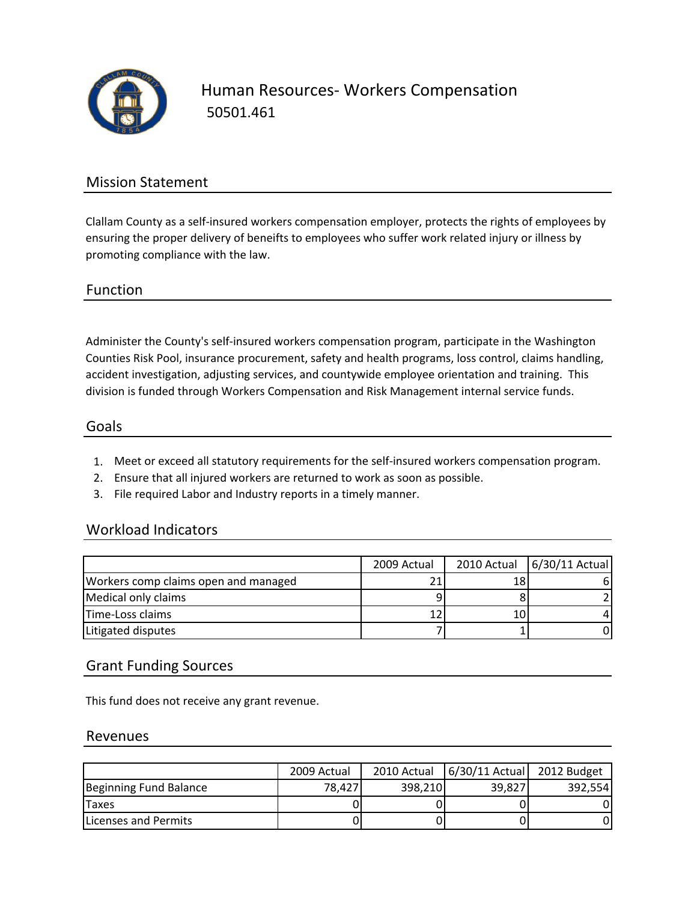

Human Resources‐ Workers Compensation 50501.461

## Mission Statement

Clallam County as a self‐insured workers compensation employer, protects the rights of employees by ensuring the proper delivery of beneifts to employees who suffer work related injury or illness by promoting compliance with the law.

#### Function

Administer the County's self‐insured workers compensation program, participate in the Washington Counties Risk Pool, insurance procurement, safety and health programs, loss control, claims handling, accident investigation, adjusting services, and countywide employee orientation and training. This division is funded through Workers Compensation and Risk Management internal service funds.

#### Goals

- 1. Meet or exceed all statutory requirements for the self‐insured workers compensation program.
- 2. Ensure that all injured workers are returned to work as soon as possible.
- 3. File required Labor and Industry reports in a timely manner.

### Workload Indicators

|                                      | 2009 Actual | 2010 Actual | 6/30/11 Actual |
|--------------------------------------|-------------|-------------|----------------|
| Workers comp claims open and managed |             |             |                |
| Medical only claims                  |             |             |                |
| Time-Loss claims                     |             |             |                |
| Litigated disputes                   |             |             |                |

### Grant Funding Sources

This fund does not receive any grant revenue.

#### Revenues

|                              | 2009 Actual | 2010 Actual | $6/30/11$ Actual | 2012 Budget |
|------------------------------|-------------|-------------|------------------|-------------|
| Beginning Fund Balance       | 78.4271     | 398.210     | 39,827           | 392.554     |
| <b>Taxes</b>                 |             |             |                  |             |
| <b>ILicenses and Permits</b> |             |             |                  |             |